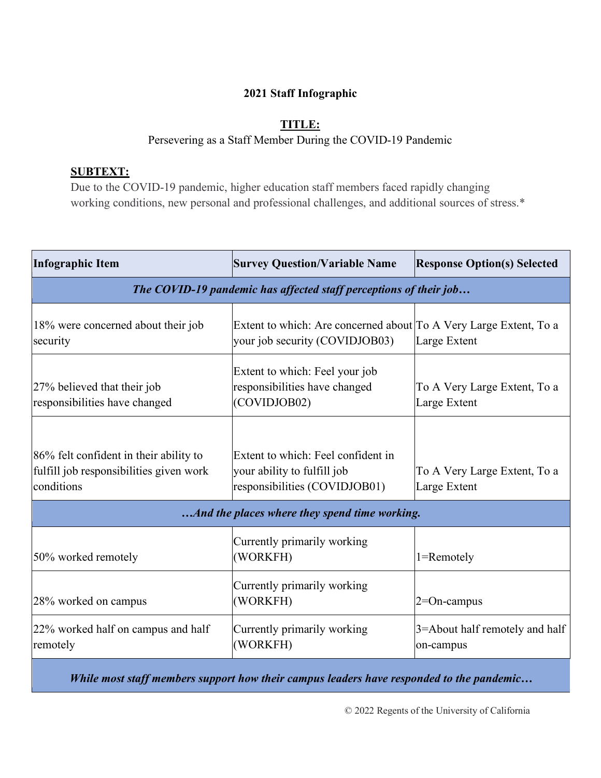## **2021 Staff Infographic**

## **TITLE:**

## Persevering as a Staff Member During the COVID-19 Pandemic

## **SUBTEXT:**

Due to the COVID-19 pandemic, higher education staff members faced rapidly changing working conditions, new personal and professional challenges, and additional sources of stress.\*

| <b>Infographic Item</b>                                                                         | <b>Survey Question/Variable Name</b>                                                                | <b>Response Option(s) Selected</b>           |  |  |
|-------------------------------------------------------------------------------------------------|-----------------------------------------------------------------------------------------------------|----------------------------------------------|--|--|
| The COVID-19 pandemic has affected staff perceptions of their job                               |                                                                                                     |                                              |  |  |
| 18% were concerned about their job<br>security                                                  | Extent to which: Are concerned about To A Very Large Extent, To a<br>your job security (COVIDJOB03) | Large Extent                                 |  |  |
| 27% believed that their job<br>responsibilities have changed                                    | Extent to which: Feel your job<br>responsibilities have changed<br>(COVIDJOB02)                     | To A Very Large Extent, To a<br>Large Extent |  |  |
| 86% felt confident in their ability to<br>fulfill job responsibilities given work<br>conditions | Extent to which: Feel confident in<br>your ability to fulfill job<br>responsibilities (COVIDJOB01)  | To A Very Large Extent, To a<br>Large Extent |  |  |
| And the places where they spend time working.                                                   |                                                                                                     |                                              |  |  |
| 50% worked remotely                                                                             | Currently primarily working<br>(WORKFH)                                                             | 1=Remotely                                   |  |  |
| 28% worked on campus                                                                            | Currently primarily working<br>(WORKFH)                                                             | $2=On$ -campus                               |  |  |
| 22% worked half on campus and half<br>remotely                                                  | Currently primarily working<br>(WORKFH)                                                             | 3=About half remotely and half<br>on-campus  |  |  |

*While most staff members support how their campus leaders have responded to the pandemic…*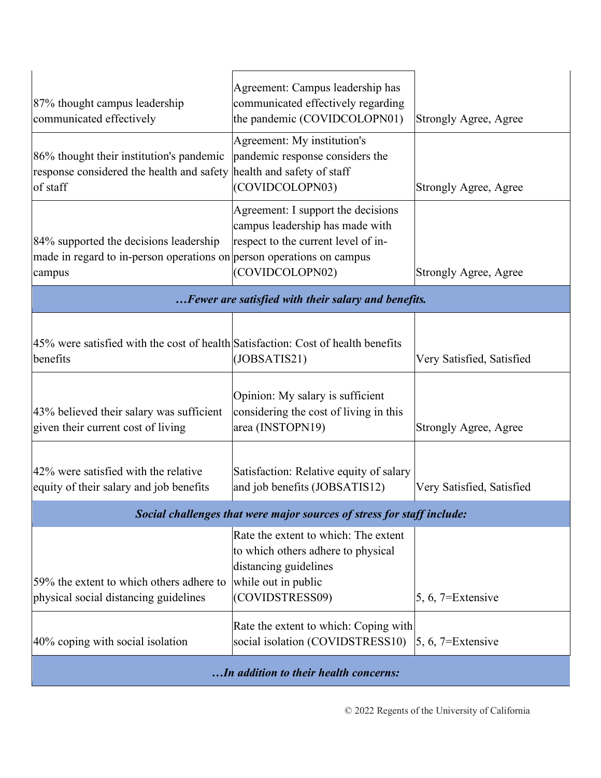| 87% thought campus leadership<br>communicated effectively                                                                 | Agreement: Campus leadership has<br>communicated effectively regarding<br>the pandemic (COVIDCOLOPN01)                                        | <b>Strongly Agree, Agree</b> |  |  |
|---------------------------------------------------------------------------------------------------------------------------|-----------------------------------------------------------------------------------------------------------------------------------------------|------------------------------|--|--|
| 86% thought their institution's pandemic<br>response considered the health and safety<br>of staff                         | Agreement: My institution's<br>pandemic response considers the<br>health and safety of staff<br>(COVIDCOLOPN03)                               | <b>Strongly Agree, Agree</b> |  |  |
| 84% supported the decisions leadership<br>made in regard to in-person operations on person operations on campus<br>campus | Agreement: I support the decisions<br>campus leadership has made with<br>respect to the current level of in-<br>(COVIDCOLOPN02)               | <b>Strongly Agree, Agree</b> |  |  |
| Fewer are satisfied with their salary and benefits.                                                                       |                                                                                                                                               |                              |  |  |
| 45% were satisfied with the cost of health Satisfaction: Cost of health benefits<br>benefits                              | (JOBSATIS21)                                                                                                                                  | Very Satisfied, Satisfied    |  |  |
| 43% believed their salary was sufficient<br>given their current cost of living                                            | Opinion: My salary is sufficient<br>considering the cost of living in this<br>area (INSTOPN19)                                                | <b>Strongly Agree, Agree</b> |  |  |
| 42% were satisfied with the relative<br>equity of their salary and job benefits                                           | Satisfaction: Relative equity of salary<br>and job benefits (JOBSATIS12)                                                                      | Very Satisfied, Satisfied    |  |  |
| Social challenges that were major sources of stress for staff include:                                                    |                                                                                                                                               |                              |  |  |
| 59% the extent to which others adhere to<br>physical social distancing guidelines                                         | Rate the extent to which: The extent<br>to which others adhere to physical<br>distancing guidelines<br>while out in public<br>(COVIDSTRESS09) | 5, 6, $7=Extensive$          |  |  |
| 40% coping with social isolation                                                                                          | Rate the extent to which: Coping with<br>social isolation (COVIDSTRESS10)                                                                     | 5, 6, $7 =$ Extensive        |  |  |
| In addition to their health concerns:                                                                                     |                                                                                                                                               |                              |  |  |